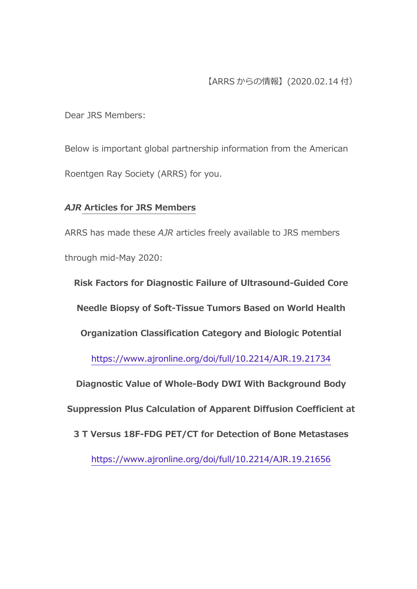Dear JRS Members:

Below is important global partnership information from the American Roentgen Ray Society (ARRS) for you.

# *AJR* **Articles for JRS Members**

ARRS has made these *AJR* articles freely available to JRS members through mid-May 2020:

**Risk Factors for Diagnostic Failure of Ultrasound-Guided Core Needle Biopsy of Soft-Tissue Tumors Based on World Health Organization Classification Category and Biologic Potential** <https://www.ajronline.org/doi/full/10.2214/AJR.19.21734> **Diagnostic Value of Whole-Body DWI With Background Body Suppression Plus Calculation of Apparent Diffusion Coefficient at 3 T Versus 18F-FDG PET/CT for Detection of Bone Metastases** <https://www.ajronline.org/doi/full/10.2214/AJR.19.21656>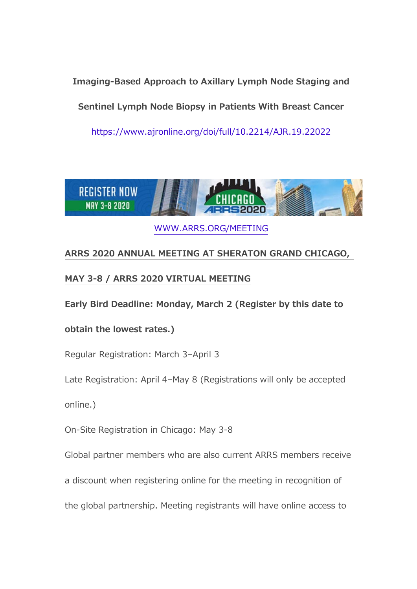**Imaging-Based Approach to Axillary Lymph Node Staging and** 

**Sentinel Lymph Node Biopsy in Patients With Breast Cancer**

<https://www.ajronline.org/doi/full/10.2214/AJR.19.22022>



[WWW.ARRS.ORG/MEETING](https://www.arrs.org/AM20)

# **ARRS 2020 ANNUAL MEETING AT SHERATON GRAND CHICAGO,**

## **MAY 3-8 / ARRS 2020 VIRTUAL MEETING**

**Early Bird Deadline: Monday, March 2 (Register by this date to** 

## **obtain the lowest rates.)**

Regular Registration: March 3–April 3

Late Registration: April 4–May 8 (Registrations will only be accepted

online.)

On-Site Registration in Chicago: May 3-8

Global partner members who are also current ARRS members receive

a discount when registering online for the meeting in recognition of

the global partnership. Meeting registrants will have online access to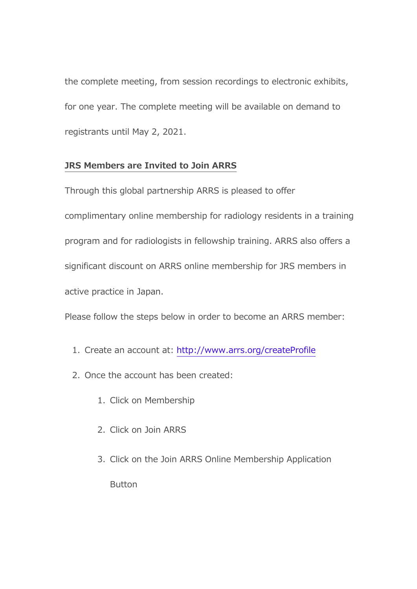the complete meeting, from session recordings to electronic exhibits, for one year. The complete meeting will be available on demand to registrants until May 2, 2021.

### **JRS Members are Invited to Join ARRS**

Through this global partnership ARRS is pleased to offer complimentary online membership for radiology residents in a training program and for radiologists in fellowship training. ARRS also offers a significant discount on ARRS online membership for JRS members in active practice in Japan.

Please follow the steps below in order to become an ARRS member:

- 1. Create an account at: <http://www.arrs.org/createProfile>
- 2. Once the account has been created:
	- 1. Click on Membership
	- 2. Click on Join ARRS
	- 3. Click on the Join ARRS Online Membership Application

Button